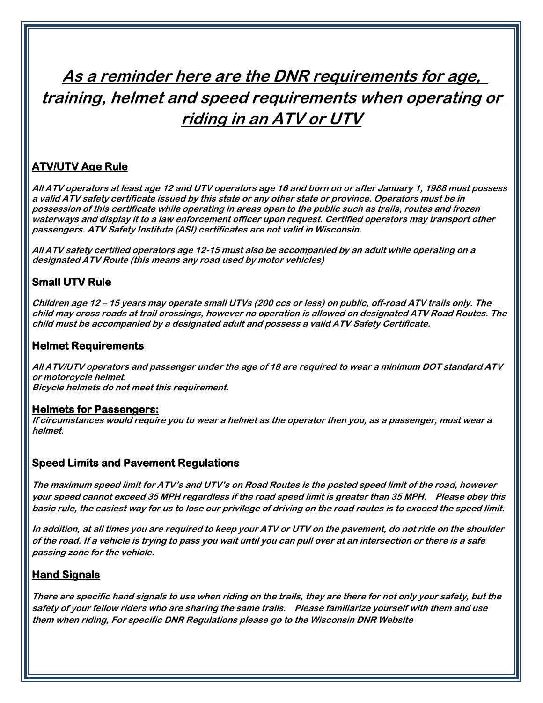# **As a reminder here are the DNR requirements for age, training, helmet and speed requirements when operating or riding in an ATV or UTV**

## **ATV/UTV Age Rule**

**All ATV operators at least age 12 and UTV operators age 16 and born on or after January 1, 1988 must possess a valid ATV safety certificate issued by this state or any other state or province. Operators must be in possession of this certificate while operating in areas open to the public such as trails, routes and frozen waterways and display it to a law enforcement officer upon request. Certified operators may transport other passengers. ATV Safety Institute (ASI) certificates are not valid in Wisconsin.**

**All ATV safety certified operators age 12-15 must also be accompanied by an adult while operating on <sup>a</sup> designated ATV Route (this means any road used by motor vehicles)**

## **Small UTV Rule**

**Children age 12 – 15 years may operate small UTVs (200 ccs or less) on public, off-road ATV trails only. The child may cross roads at trail crossings, however no operation is allowed on designated ATV Road Routes. The child must be accompanied by a designated adult and possess a valid ATV Safety Certificate.**

#### **Helmet Requirements**

**All ATV/UTV operators and passenger under the age of 18 are required to wear a minimum DOT standard ATV or motorcycle helmet. Bicycle helmets do not meet this requirement.**

#### **Helmets for Passengers:**

**If circumstances would require you to wear a helmet as the operator then you, as a passenger, must wear a helmet.**

#### **Speed Limits and Pavement Regulations**

**The maximum speed limit for ATV's and UTV's on Road Routes is the posted speed limit of the road, however your speed cannot exceed 35 MPH regardless if the road speed limit is greater than 35 MPH. Please obey this basic rule, the easiest way for us to lose our privilege of driving on the road routes is to exceed the speed limit.**

**In addition, at all times you are required to keep your ATV or UTV on the pavement, do not ride on the shoulder of the road. If a vehicle is trying to pass you wait until you can pull over at an intersection or there is a safe passing zone for the vehicle.**

### **Hand Signals**

**There are specific hand signals to use when riding on the trails, they are there for not only your safety, but the safety of your fellow riders who are sharing the same trails. Please familiarize yourself with them and use them when riding, For specific DNR Regulations please go to the Wisconsin DNR Website**